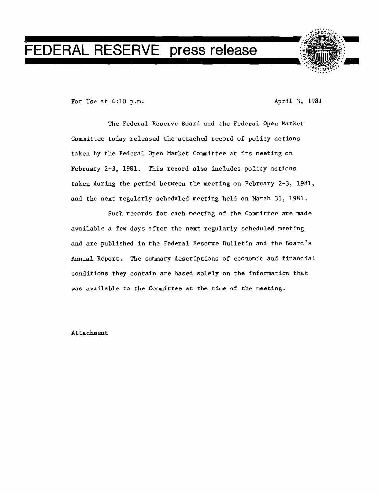## **FEDERAL RESERVE press release**



For Use at 4:10 p.m. April 3, 1981

The Federal Reserve Board and the Federal Open Market Committee today released the attached record of policy actions taken by the Federal Open Market Committee at its meeting on February 2-3, 1981. This record also includes policy actions taken during the period between the meeting on February 2-3, 1981, and the next regularly scheduled meeting held on March 31, 1981.

Such records for each meeting of the Committee are made available a few days after the next regularly scheduled meeting and are published in the Federal Reserve Bulletin and the Board's Annual Report. The summary descriptions of economic and financial conditions they contain are based solely on the information that was available to the Committee at the time of the meeting.

Attachment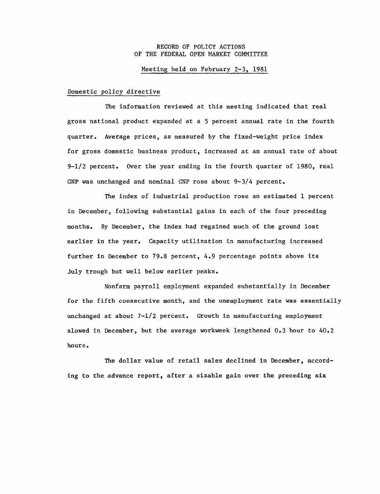## RECORD OF POLICY ACTIONS OF THE FEDERAL OPEN MARKET COMMITTEE

## Meeting held on February 2-3, 1981

## Domestic policy directive

The information reviewed at this meeting indicated that real gross national product expanded at a 5 percent annual rate in the fourth quarter. Average prices, as measured by the fixed-weight price index for gross domestic business product, increased at an annual rate of about 9-1/2 percent. Over the year ending in the fourth quarter of 1980, real GNP was unchanged and nominal GNP rose about 9-3/4 percent.

The index of industrial production rose an estimated 1 percent in December, following substantial gains in each of the four preceding months. By December, the index had regained much of the ground lost earlier in the year. Capacity utilization in manufacturing increased further in December to 79.8 percent, 4.9 percentage points above its July trough but well below earlier peaks.

Nonfarm payroll employment expanded substantially in December for the fifth consecutive month, and the unemployment rate was essentially unchanged at about  $7-1/2$  percent. Growth in manufacturing employment slowed in December, but the average workweek lengthened 0.3 hour to 40.2 hours.

The dollar value of retail sales declined in December, accord ing to the advance report, after a sizable gain over the preceding six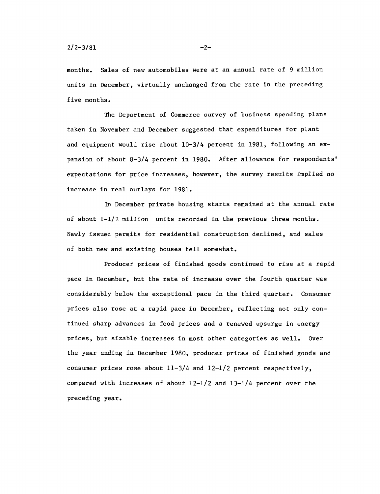months. Sales of new automobiles were at an annual rate of 9 million units in December, virtually unchanged from the rate in the preceding five months.

The Department of Commerce survey of business spending plans taken in November and December suggested that expenditures for plant and equipment would rise about 10-3/4 percent in 1981, following an ex pansion of about 8-3/4 percent in 1980. After allowance for respondents' expectations for price increases, however, the survey results implied no increase in real outlays for 1981.

In December private housing starts remained at the annual rate of about 1-1/2 million units recorded in the previous three months. Newly issued permits for residential construction declined, and sales of both new and existing houses fell somewhat.

Producer prices of finished goods continued to rise at a rapid pace in December, but the rate of increase over the fourth quarter was considerably below the exceptional pace in the third quarter. Consumer prices also rose at a rapid pace in December, reflecting not only con tinued sharp advances in food prices and a renewed upsurge in energy prices, but sizable increases in most other categories as well. Over the year ending in December 1980, producer prices of finished goods and consumer prices rose about  $11-3/4$  and  $12-1/2$  percent respectively, compared with increases of about 12-1/2 and 13-1/4 percent over the preceding year.

 $-2-$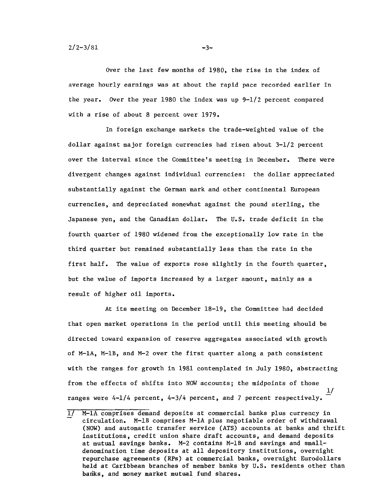Over the last few months of 1980, the rise in the index of average hourly earnings was at about the rapid pace recorded earlier in the year. Over the year 1980 the index was up  $9-1/2$  percent compared with a rise of about 8 percent over 1979.

In foreign exchange markets the trade-weighted value of the dollar against major foreign currencies had risen about 3-1/2 percent over the interval since the Committee's meeting in December. There were divergent changes against individual currencies: the dollar appreciated substantially against the German mark and other continental European currencies, and depreciated somewhat against the pound sterling, the Japanese yen, and the Canadian dollar. The U.S. trade deficit in the fourth quarter of 1980 widened from the exceptionally low rate in the third quarter but remained substantially less than the rate in the first half. The value of exports rose slightly in the fourth quarter, but the value of imports increased by a larger amount, mainly as a result of higher oil imports.

At its meeting on December 18-19, the Committee had decided that open market operations in the period until this meeting should be directed toward expansion of reserve aggregates associated with growth of M-1A, M-1B, and M-2 over the first quarter along a path consistent with the ranges for growth in 1981 contemplated in July 1980, abstracting from the effects of shifts into NOW accounts; the midpoints of those 1/ ranges were 4-1/4 percent, 4-3/4 percent, and 7 percent respectively.

 $-3-$ 

<sup>1/</sup> M-1A comprises demand deposits at commercial banks plus currency in circulation. M-1B comprises M-1A plus negotiable order of withdrawal (NOW) and automatic transfer service (ATS) accounts at banks and thrift institutions, credit union share draft accounts, and demand deposits at mutual savings banks. M-2 contains M-1B and savings and small denomination time deposits at all depository institutions, overnight repurchase agreements (RPs) at commercial banks, overnight Eurodollars held at Caribbean branches of member banks **by U.S.** residents other than banks, and money market mutual fund shares.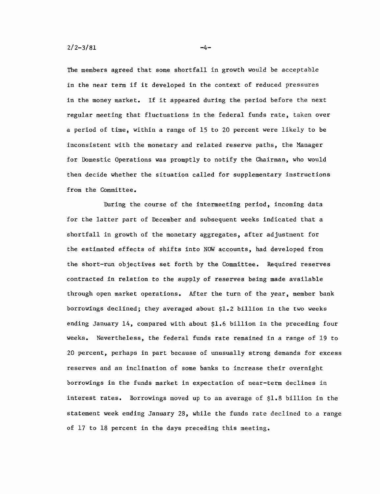The members agreed that some shortfall in growth would be acceptable in the near term if it developed in the context of reduced pressures in the money market. If it appeared during the period before the next regular meeting that fluctuations in the federal funds rate, taken over a period of time, within a range of 15 to 20 percent were likely to be inconsistent with the monetary and related reserve paths, the Manager for Domestic Operations was promptly to notify the Chairman, who would then decide whether the situation called for supplementary instructions from the Committee.

During the course of the intermeeting period, incoming data for the latter part of December and subsequent weeks indicated that a shortfall in growth of the monetary aggregates, after adjustment for the estimated effects of shifts into NOW accounts, had developed from the short-run objectives set forth by the Committee. Required reserves contracted in relation to the supply of reserves being made available through open market operations. After the turn of the year, member bank borrowings declined; they averaged about \$1.2 billion in the two weeks ending January 14, compared with about \$1.6 billion in the preceding four weeks. Nevertheless, the federal funds rate remained in a range of 19 to 20 percent, perhaps in part because of unusually strong demands for excess reserves and an inclination of some banks to increase their overnight borrowings in the funds market in expectation of near-term declines in interest rates. Borrowings moved up to an average of \$1.8 billion in the statement week ending January 28, while the funds rate declined to a range of 17 to 18 percent in the days preceding this meeting.

-4-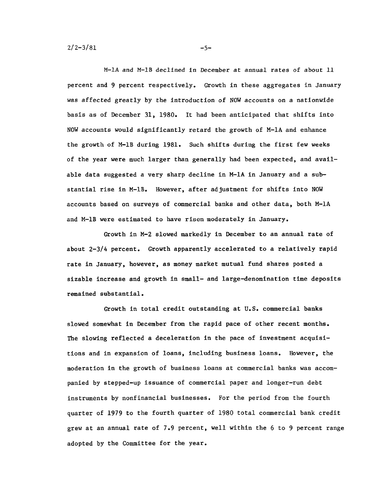$2/2 - 3/81$ 

M-1A and M-1B declined in December at annual rates of about 11 percent and 9 percent respectively. Growth in these aggregates in January was affected greatly by the introduction of NOW accounts on a nationwide basis as of December 31, 1980. It had been anticipated that shifts into NOW accounts would significantly retard the growth of M-1A and enhance the growth of M-1B during 1981. Such shifts during the first few weeks of the year were much larger than generally had been expected, and avail able data suggested a very sharp decline in M-1A in January and a sub stantial rise in M-1B. However, after adjustment for shifts into NOW accounts based on surveys of commercial banks and other data, both M-1A and M-1B were estimated to have risen moderately in January.

Growth in M-2 slowed markedly in December to an annual rate of about 2-3/4 percent. Growth apparently accelerated to a relatively rapid rate in January, however, as money market mutual fund shares posted a sizable increase and growth in small- and large-denomination time deposits remained substantial.

Growth in total credit outstanding at U.S. commercial banks slowed somewhat in December from the rapid pace of other recent months. The slowing reflected a deceleration in the pace of investment acquisi tions and in expansion of loans, including business loans. However, the moderation in the growth of business loans at commercial banks was accom panied by stepped-up issuance of commercial paper and longer-run debt instruments by nonfinancial businesses. For the period from the fourth quarter of 1979 to the fourth quarter of 1980 total commercial bank credit grew at an annual rate of 7.9 percent, well within the 6 to 9 percent range adopted by the Committee for the year.

 $-5-$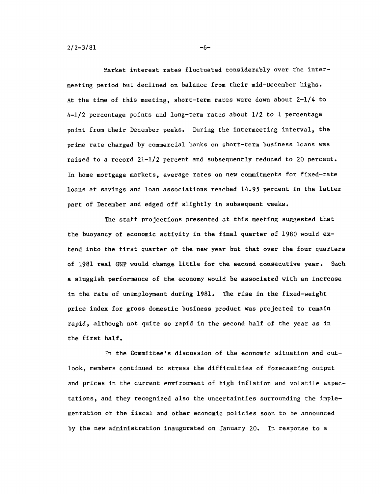$2/2 - 3/81$ 

Market interest rates fluctuated considerably over the inter meeting period but declined on balance from their mid-December highs. At the time of this meeting, short-term rates were down about 2-1/4 to 4-1/2 percentage points and long-term rates about 1/2 to 1 percentage point from their December peaks. During the intermeeting interval, the prime rate charged by commercial banks on short-term business loans was raised to a record 21-1/2 percent and subsequently reduced to 20 percent. In home mortgage markets, average rates on new commitments for fixed-rate loans at savings and loan associations reached 14.95 percent in the latter part of December and edged off slightly in subsequent weeks.

The staff projections presented at this meeting suggested that the buoyancy of economic activity in the final quarter of 1980 would ex tend into the first quarter of the new year but that over the four quarters of 1981 real GNP would change little for the second consecutive year. Such a sluggish performance of the economy would be associated with an increase in the rate of unemployment during 1981. The rise in the fixed-weight price index for gross domestic business product was projected to remain rapid, although not quite so rapid in the second half of the year as in the first half.

In the Committee's discussion of the economic situation and out look, members continued to stress the difficulties of forecasting output and prices in the current environment of high inflation and volatile expec tations, and they recognized also the uncertainties surrounding the imple mentation of the fiscal and other economic policies soon to be announced by the new administration inaugurated on January 20. In response to a

 $-6-$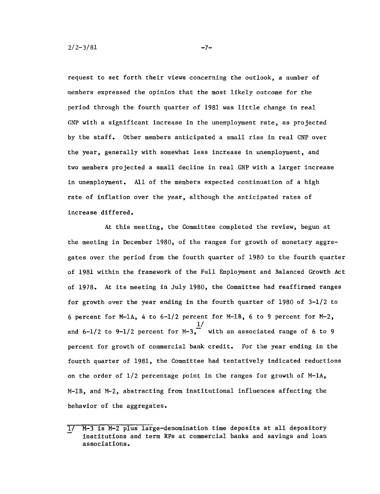request to set forth their views concerning the outlook, a number of members expressed the opinion that the most likely outcome for the period through the fourth quarter of 1981 was little change in real GNP with a significant increase in the unemployment rate, as projected by the staff. Other members anticipated a small rise in real GNP over the year, generally with somewhat less increase in unemployment, and two members projected a small decline in real GNP with a larger increase in unemployment. All of the members expected continuation of a high rate of inflation over the year, although the anticipated rates of increase differed.

At this meeting, the Committee completed the review, begun at the meeting in December 1980, of the ranges for growth of monetary aggre gates over the period from the fourth quarter of 1980 to the fourth quarter of 1981 within the framework of the Full Employment and Balanced Growth Act of 1978. At its meeting in July 1980, the Committee had reaffirmed ranges for growth over the year ending in the fourth quarter of 1980 of 3-1/2 to 6 percent for M-1A, 4 to 6-1/2 percent for M-1B, 6 to 9 percent for M-2, 1/ and  $6-1/2$  to  $9-1/2$  percent for  $M-3$ , with an associated range of 6 to 9 percent for growth of commercial bank credit. For the year ending in the fourth quarter of 1981, the Committee had tentatively indicated reductions on the order of  $1/2$  percentage point in the ranges for growth of  $M-1A$ , M-1B, and M-2, abstracting from institutional influences affecting the behavior of the aggregates.

 $-7-$ 

 $\overline{1}$ /  $\overline{M-3}$  is  $M-2$  plus large-denomination time deposits at all depository institutions and term RPs at commercial banks and savings and loan associations.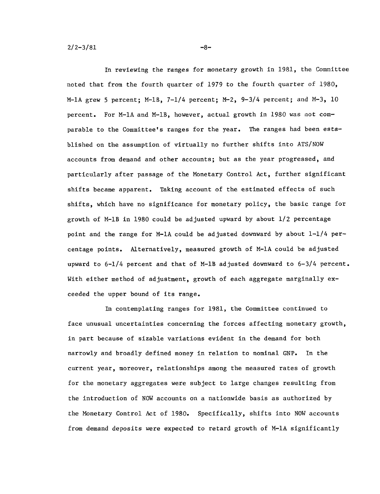In reviewing the ranges for monetary growth in 1981, the Committee noted that from the fourth quarter of 1979 to the fourth quarter of 1980, M-1A grew 5 percent; M-1B,  $7-1/4$  percent; M-2,  $9-3/4$  percent; and M-3, 10 percent. For M-1A and M-1B, however, actual growth in 1980 was not com parable to the Committee's ranges for the year. The ranges had been established on the assumption of virtually no further shifts into ATS/NOW accounts from demand and other accounts; but as the year progressed, and particularly after passage of the Monetary Control Act, further significant shifts became apparent. Taking account of the estimated effects of such shifts, which have no significance for monetary policy, the basic range for growth of M-1B in 1980 could be adjusted upward by about 1/2 percentage point and the range for M-1A could be adjusted downward by about  $1-1/4$  percentage points. Alternatively, measured growth of M-1A could be adjusted upward to 6-1/4 percent and that of M-1B adjusted downward to 6-3/4 percent. With either method of adjustment, growth of each aggregate marginally exceeded the upper bound of its range.

In contemplating ranges for 1981, the Committee continued to face unusual uncertainties concerning the forces affecting monetary growth, in part because of sizable variations evident in the demand for both narrowly and broadly defined money in relation to nominal GNP. In the current year, moreover, relationships among the measured rates of growth for the monetary aggregates were subject to large changes resulting from the introduction of NOW accounts on a nationwide basis as authorized by the Monetary Control Act of 1980. Specifically, shifts into NOW accounts from demand deposits were expected to retard growth of M-1A significantly

**-8-**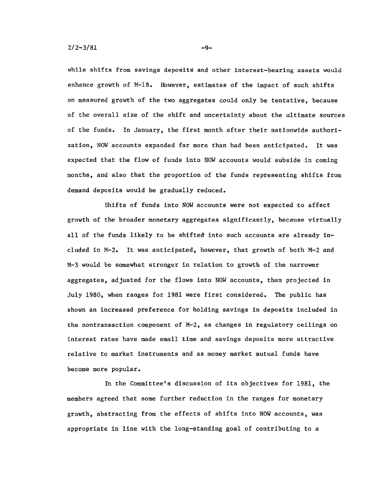while shifts from savings deposits and other interest-bearing assets would enhance growth of M-1B. However, estimates of the impact of such shifts on measured growth of the two aggregates could only be tentative, because of the overall size of the shift and uncertainty about the ultimate sources of the funds. In January, the first month after their nationwide authori zation, NOW accounts expanded far more than had been anticipated. It was expected that the flow of funds into NOW accounts would subside in coming months, and also that the proportion of the funds representing shifts from demand deposits would be gradually reduced.

Shifts of funds into NOW accounts were not expected to affect growth of the broader monetary aggregates significantly, because virtually all of the funds likely to be shifted into such accounts are already in cluded in M-2. It was anticipated, however, that growth of both M-2 and M-3 would be somewhat stronger in relation to growth of the narrower aggregates, adjusted for the flows into NOW accounts, than projected in July 1980, when ranges for 1981 were first considered. The public has shown an increased preference for holding savings in deposits included in the nontransaction component of M-2, as changes in regulatory ceilings on interest rates have made small time and savings deposits more attractive relative to market instruments and as money market mutual funds have become more popular.

In the Committee's discussion of its objectives for 1981, the members agreed that some further reduction in the ranges for monetary growth, abstracting from the effects of shifts into NOW accounts, was appropriate in line with the long-standing goal of contributing to a

 $-9-$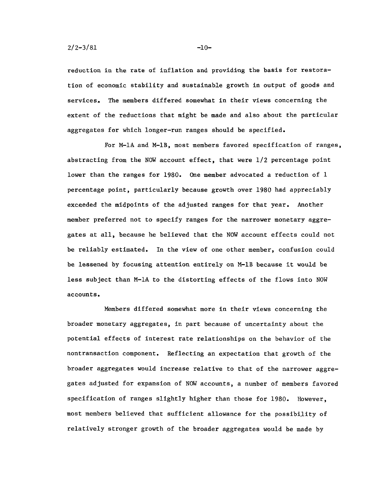reduction in the rate of inflation and providing the basis for restora tion of economic stability and sustainable growth in output of goods and services. The members differed somewhat in their views concerning the extent of the reductions that might be made and also about the particular aggregates for which longer-run ranges should be specified.

For M-1A and M-1B, most members favored specification of ranges, abstracting from the NOW account effect, that were 1/2 percentage point lower than the ranges for 1980. One member advocated a reduction of 1 percentage point, particularly because growth over 1980 had appreciably exceeded the midpoints of the adjusted ranges for that year. Another member preferred not to specify ranges for the narrower monetary aggre gates at all, because he believed that the NOW account effects could not be reliably estimated. In the view of one other member, confusion could be lessened by focusing attention entirely on M-1B because it would be less subject than M-1A to the distorting effects of the flows into NOW accounts.

Members differed somewhat more in their views concerning the broader monetary aggregates, in part because of uncertainty about the potential effects of interest rate relationships on the behavior of the nontransaction component. Reflecting an expectation that growth of the broader aggregates would increase relative to that of the narrower aggre gates adjusted for expansion of NOW accounts, a number of members favored specification of ranges slightly higher than those for 1980. However, most members believed that sufficient allowance for the possibility of relatively stronger growth of the broader aggregates would be made by

-10-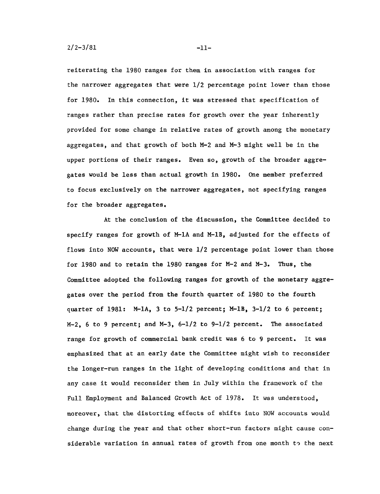reiterating the 1980 ranges for them in association with ranges for the narrower aggregates that were 1/2 percentage point lower than those for 1980. In this connection, it was stressed that specification of ranges rather than precise rates for growth over the year inherently provided for some change in relative rates of growth among the monetary aggregates, and that growth of both M-2 and M-3 might well be in the upper portions of their ranges. Even so, growth of the broader aggregates would be less than actual growth in 1980. One member preferred to focus exclusively on the narrower aggregates, not specifying ranges for the broader aggregates,

At the conclusion of the discussion, the Committee decided to specify ranges for growth of M-1A and M-1B, adjusted for the effects of flows into NOW accounts, that were 1/2 percentage point lower than those for 1980 and to retain the 1980 ranges for M-2 and M-3. Thus, the Committee adopted the following ranges for growth of the monetary aggre gates over the period from the fourth quarter of 1980 to the fourth quarter of 1981:  $M-1A$ , 3 to 5-1/2 percent;  $M-1B$ , 3-1/2 to 6 percent;  $M-2$ , 6 to 9 percent; and  $M-3$ ,  $6-1/2$  to 9-1/2 percent. The associated range for growth of commercial bank credit was 6 to 9 percent. It was emphasized that at an early date the Committee might wish to reconsider the longer-run ranges in the light of developing conditions and that in any case it would reconsider them in July within the framework of the Full Employment and Balanced Growth Act of 1978. It was understood, moreover, that the distorting effects of shifts into NOW accounts would change during the year and that other short-run factors might cause con siderable variation in annual rates of growth from one month to the next

-11-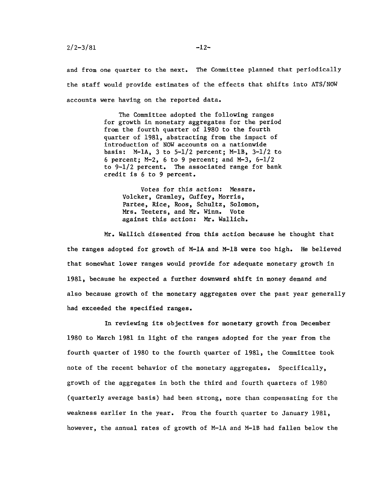and from one quarter to the next. The Committee planned that periodically the staff would provide estimates of the effects that shifts into ATS/NOW accounts were having on the reported data.

> The Committee adopted the following ranges for growth in monetary aggregates for the period from the fourth quarter of 1980 to the fourth quarter of 1981, abstracting from the impact of introduction of NOW accounts on a nationwide basis:  $M-1A$ , 3 to  $5-1/2$  percent;  $M-1B$ ,  $3-1/2$  to 6 percent; M-2, 6 to 9 percent; and M-3, 6-1/2 to 9-1/2 percent. The associated range for bank credit is 6 to 9 percent.

Votes for this action: Messrs. Volcker, Gramley, Guffey, Morris, Partee, Rice, Roos, Schultz, Solomon, Mrs. Teeters, and Mr. Winn. Vote against this action: Mr. Wallich.

Mr. Wallich dissented from this action because he thought that the ranges adopted for growth of M-1A and M-1B were too high. He believed that somewhat lower ranges would provide for adequate monetary growth in 1981, because he expected a further downward shift in money demand and also because growth of the monetary aggregates over the past year generally had exceeded the specified ranges.

In reviewing its objectives for monetary growth from December 1980 to March 1981 in light of the ranges adopted for the year from the fourth quarter of 1980 to the fourth quarter of 1981, the Committee took note of the recent behavior of the monetary aggregates. Specifically, growth of the aggregates in both the third and fourth quarters of 1980 (quarterly average basis) had been strong, more than compensating for the weakness earlier in the year. From the fourth quarter to January 1981, however, the annual rates of growth of M-1A and M-1B had fallen below the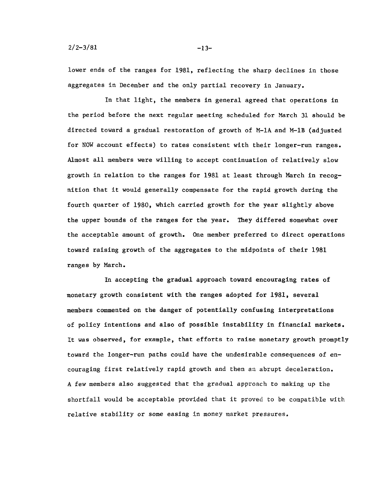lower ends of the ranges for 1981, reflecting the sharp declines in those aggregates in December and the only partial recovery in January.

In that light, the members in general agreed that operations in the period before the next regular meeting scheduled for March 31 should be directed toward a gradual restoration of growth of M-1A and M-1B (adjusted for NOW account effects) to rates consistent with their longer-run ranges. Almost all members were willing to accept continuation of relatively slow growth in relation to the ranges for 1981 at least through March in recog nition that it would generally compensate for the rapid growth during the fourth quarter of 1980, which carried growth for the year slightly above the upper bounds of the ranges for the year. They differed somewhat over the acceptable amount of growth. One member preferred to direct operations toward raising growth of the aggregates to the midpoints of their 1981 ranges by March.

In accepting the gradual approach toward encouraging rates of monetary growth consistent with the ranges adopted for 1981, several members commented on the danger of potentially confusing interpretations of policy intentions and also of possible instability in financial markets. It was observed, for example, that efforts to raise monetary growth promptly toward the longer-run paths could have the undesirable consequences of en couraging first relatively rapid growth and then an abrupt deceleration. A few members also suggested that the gradual approach to making up the shortfall would be acceptable provided that it proved to be compatible with relative stability or some easing in money market pressures.

-13-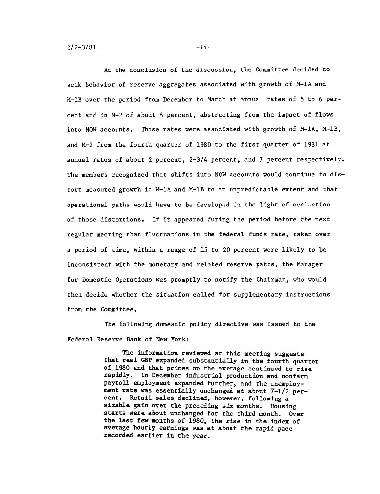**2/2-3/81**

At the conclusion of the discussion, the Committee decided to seek behavior of reserve aggregates associated with growth of M-1A and M-1B over the period from December to March at annual rates of **5** to **6** per cent and in M-2 of about **8** percent, abstracting from the impact of flows into NOW accounts. Those rates were associated with growth of M-1A, M-1B, and M-2 from the fourth quarter of **1980** to the first quarter of **1981** at annual rates of about 2 percent, 2-3/4 percent, and **7** percent respectively. The members recognized that shifts into NOW accounts would continue to distort measured growth in M-1A and M-1B to an unpredictable extent and that operational paths would have to be developed in the light of evaluation of those distortions. If it appeared during the period before the next regular meeting that fluctuations in the federal funds rate, taken over a period of time, within a range of **15** to 20 percent were likely to be inconsistent with the monetary and related reserve paths, the Manager for Domestic Operations was promptly to notify the Chairman, who would then decide whether the situation called for supplementary instructions from the Committee.

The following domestic policy directive was issued to the Federal Reserve Bank of New York:

> The information reviewed at this meeting suggests that real **GNP** expanded substantially in the fourth quarter of **1980** and that prices on the average continued to rise rapidly. In December industrial production and nonfarm payroll employment expanded further, and the unemploy ment rate was essentially unchanged at about **7-1/2** per cent. Retail sales declined, however, following a sizable gain over the preceding six months. Housing starts were about unchanged for the third month. Over the last few months of **1980,** the rise in the index of average hourly earnings was at about the rapid pace recorded earlier in the year.

 $-14-$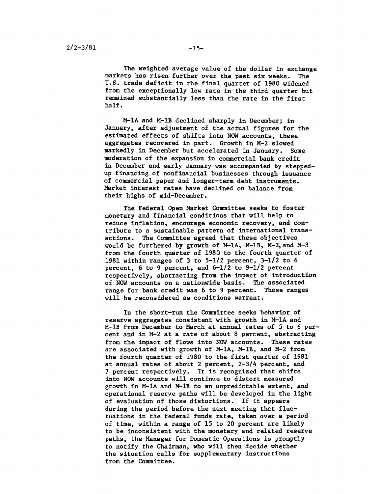The weighted average value of the dollar in exchange markets has risen further over the past six weeks. The U.S. trade deficit in the final quarter of 1980 widened from the exceptionally low rate in the third quarter but remained substantially less than the rate in the first half.

M-1A and M-1B declined sharply in December; in January, after adjustment of the actual figures for the estimated effects of shifts into NOW accounts, these aggregates recovered in part. Growth in M-2 slowed markedly in December but accelerated in January, Some moderation of the expansion in commercial bank credit in December and early January was accompanied by stepped up financing of nonfinancial businesses through issuance of commercial paper and longer-term debt instruments. Market interest rates have declined on balance from their highs of mid-December.

The Federal Open Market Committee seeks to foster monetary and financial conditions that will help to reduce inflation, encourage economic recovery, and con tribute to a sustainable pattern of international trans actions. The Committee agreed that these objectives would be furthered by growth of M-1A, M-1B, M-2,and M-3 from the fourth quarter of 1980 to the fourth quarter of 1981 within ranges of 3 to  $5-1/2$  percent,  $3-1/2$  to 6 percent,  $6$  to  $9$  percent, and  $6-1/2$  to  $9-1/2$  percent respectively, abstracting from the impact of introduction of NOW accounts on a nationwide basis. The associated range for bank credit was 6 to 9 percent. These ranges will be reconsidered as conditions warrant.

In the short-run the Committee seeks behavior of reserve aggregates consistent with growth in M-1A and M-1B from December to March at annual rates of **5** to 6 per cent and in M-2 at a rate of about 8 percent, abstracting from the impact of flows into NOW accounts. These rates are associated with growth of M-1A, M-1B, and M-2 from the fourth quarter of 1980 to the first quarter of 1981 at annual rates of about 2 percent, 2-3/4 percent, and 7 percent respectively. It is recognized that shifts into NOW accounts will continue to distort measured growth in M-1A and M-1B to an unpredictable extent, and operational reserve paths will be developed in the light of evaluation of those distortions. If it appears during the period before the next meeting that fluc tuations in the federal funds rate, taken over a period of time, within a range of 15 to 20 percent are likely to be inconsistent with the monetary and related reserve paths, the Manager for Domestic Operations is promptly to notify the Chairman, who will then decide whether the situation calls for supplementary instructions from the Committee.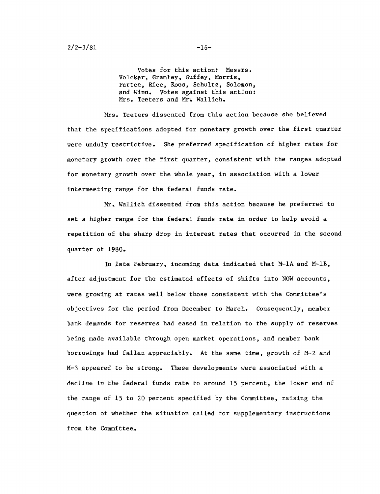Votes for this action: Messrs. Volcker, Gramley, Guffey, Morris, Partee, Rice, Roos, Schultz, Solomon, and Winn. Votes against this action: Mrs. Teeters and Mr. Wallich.

Mrs. Teeters dissented from this action because she believed that the specifications adopted for monetary growth over the first quarter were unduly restrictive. She preferred specification of higher rates for monetary growth over the first quarter, consistent with the ranges adopted for monetary growth over the whole year, in association with a lower intermeeting range for the federal funds rate.

Mr. Wallich dissented from this action because he preferred to set a higher range for the federal funds rate in order to help avoid a repetition of the sharp drop in interest rates that occurred in the second quarter of 1980.

In late February, incoming data indicated that M-1A and M-1B, after adjustment for the estimated effects of shifts into NOW accounts, were growing at rates well below those consistent with the Committee's objectives for the period from December to March. Consequently, member bank demands for reserves had eased in relation to the supply of reserves being made available through open market operations, and member bank borrowings had fallen appreciably. At the same time, growth of M-2 and M-3 appeared to be strong. These developments were associated with a decline in the federal funds rate to around 15 percent, the lower end of the range of 15 to 20 percent specified by the Committee, raising the question of whether the situation called for supplementary instructions from the Committee.